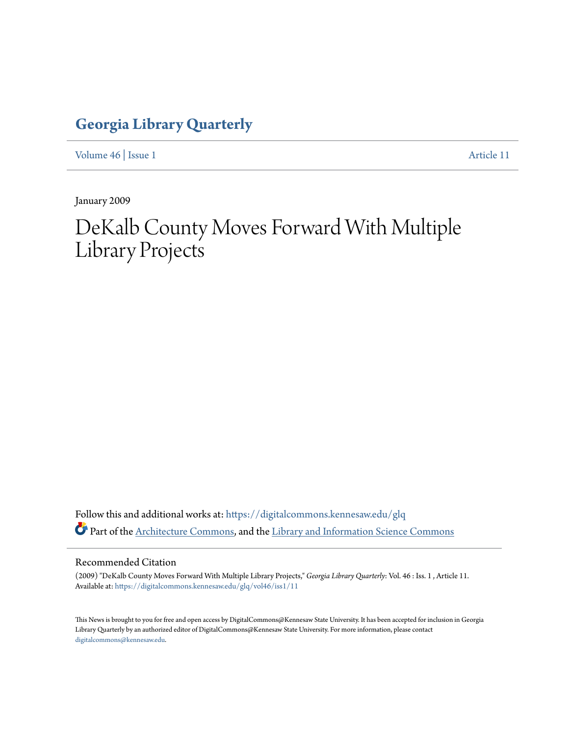## **[Georgia Library Quarterly](https://digitalcommons.kennesaw.edu/glq?utm_source=digitalcommons.kennesaw.edu%2Fglq%2Fvol46%2Fiss1%2F11&utm_medium=PDF&utm_campaign=PDFCoverPages)**

[Volume 46](https://digitalcommons.kennesaw.edu/glq/vol46?utm_source=digitalcommons.kennesaw.edu%2Fglq%2Fvol46%2Fiss1%2F11&utm_medium=PDF&utm_campaign=PDFCoverPages) | [Issue 1](https://digitalcommons.kennesaw.edu/glq/vol46/iss1?utm_source=digitalcommons.kennesaw.edu%2Fglq%2Fvol46%2Fiss1%2F11&utm_medium=PDF&utm_campaign=PDFCoverPages) [Article 11](https://digitalcommons.kennesaw.edu/glq/vol46/iss1/11?utm_source=digitalcommons.kennesaw.edu%2Fglq%2Fvol46%2Fiss1%2F11&utm_medium=PDF&utm_campaign=PDFCoverPages)

January 2009

## DeKalb County Moves Forward With Multiple Library Projects

Follow this and additional works at: [https://digitalcommons.kennesaw.edu/glq](https://digitalcommons.kennesaw.edu/glq?utm_source=digitalcommons.kennesaw.edu%2Fglq%2Fvol46%2Fiss1%2F11&utm_medium=PDF&utm_campaign=PDFCoverPages) Part of the [Architecture Commons](http://network.bepress.com/hgg/discipline/773?utm_source=digitalcommons.kennesaw.edu%2Fglq%2Fvol46%2Fiss1%2F11&utm_medium=PDF&utm_campaign=PDFCoverPages), and the [Library and Information Science Commons](http://network.bepress.com/hgg/discipline/1018?utm_source=digitalcommons.kennesaw.edu%2Fglq%2Fvol46%2Fiss1%2F11&utm_medium=PDF&utm_campaign=PDFCoverPages)

## Recommended Citation

(2009) "DeKalb County Moves Forward With Multiple Library Projects," *Georgia Library Quarterly*: Vol. 46 : Iss. 1 , Article 11. Available at: [https://digitalcommons.kennesaw.edu/glq/vol46/iss1/11](https://digitalcommons.kennesaw.edu/glq/vol46/iss1/11?utm_source=digitalcommons.kennesaw.edu%2Fglq%2Fvol46%2Fiss1%2F11&utm_medium=PDF&utm_campaign=PDFCoverPages)

This News is brought to you for free and open access by DigitalCommons@Kennesaw State University. It has been accepted for inclusion in Georgia Library Quarterly by an authorized editor of DigitalCommons@Kennesaw State University. For more information, please contact [digitalcommons@kennesaw.edu.](mailto:digitalcommons@kennesaw.edu)